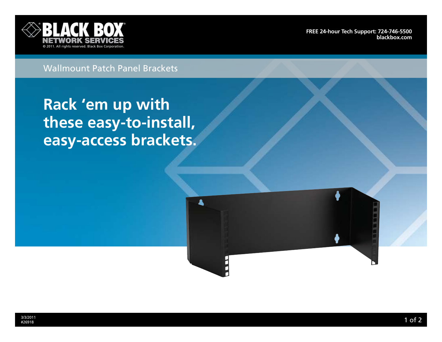

**[FRee 24-hour tech support: 724-746-5500](http://www.blackbox.com/Store/storefront.aspx) blackbox.com**

## Wallmount Patch Panel Brackets

**Rack 'em up with these easy-to-install, easy-access brackets.**



A